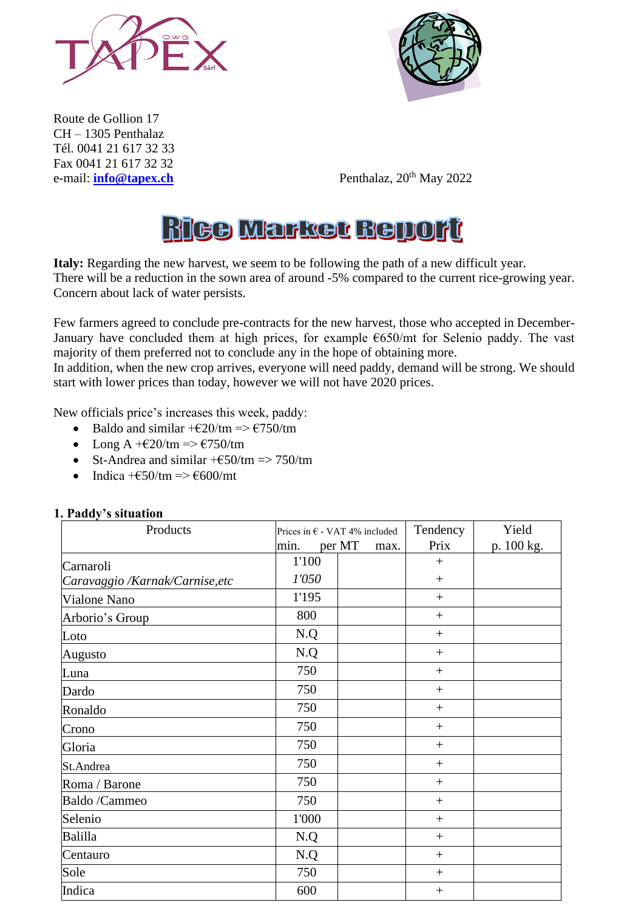



Route de Gollion 17 CH – 1305 Penthalaz Tél. 0041 21 617 32 33 Fax 0041 21 617 32 32

e-mail: **[info@tapex.ch](mailto:info@tapex.ch)** Penthalaz, 20<sup>th</sup> May 2022

# **RIGO Markot Report**

**Italy:** Regarding the new harvest, we seem to be following the path of a new difficult year. There will be a reduction in the sown area of around -5% compared to the current rice-growing year. Concern about lack of water persists.

Few farmers agreed to conclude pre-contracts for the new harvest, those who accepted in December-January have concluded them at high prices, for example  $\epsilon$ 650/mt for Selenio paddy. The vast majority of them preferred not to conclude any in the hope of obtaining more.

In addition, when the new crop arrives, everyone will need paddy, demand will be strong. We should start with lower prices than today, however we will not have 2020 prices.

New officials price's increases this week, paddy:

- Baldo and similar  $+\epsilon 20$ /tm =>  $\epsilon$ 750/tm
- Long A  $+\epsilon 20$ /tm =>  $\epsilon$ 750/tm
- St-Andrea and similar  $+\text{\textsterling}50/\text{tm} \Rightarrow 750/\text{tm}$
- Indica  $+\epsilon$ 50/tm  $\Rightarrow \epsilon$ 600/mt

| Products                        | Prices in $\epsilon$ - VAT 4% included |                | Tendency        | Yield      |
|---------------------------------|----------------------------------------|----------------|-----------------|------------|
|                                 | min.                                   | per MT<br>max. | Prix            | p. 100 kg. |
| Carnaroli                       | 1'100                                  |                | $+$             |            |
| Caravaggio /Karnak/Carnise, etc | 1'050                                  |                | $\! + \!\!\!\!$ |            |
| Vialone Nano                    | 1'195                                  |                | $\! + \!\!\!\!$ |            |
| Arborio's Group                 | 800                                    |                | $+$             |            |
| Loto                            | N.Q                                    |                | $^{+}$          |            |
| Augusto                         | N.Q                                    |                | $^{+}$          |            |
| Luna                            | 750                                    |                | $+$             |            |
| Dardo                           | 750                                    |                | $+$             |            |
| Ronaldo                         | 750                                    |                | $+$             |            |
| Crono                           | 750                                    |                | $+$             |            |
| Gloria                          | 750                                    |                | $^{+}$          |            |
| St.Andrea                       | 750                                    |                | $^{+}$          |            |
| Roma / Barone                   | 750                                    |                | $^{+}$          |            |
| Baldo /Cammeo                   | 750                                    |                | $\! + \!\!\!\!$ |            |
| Selenio                         | 1'000                                  |                | $+$             |            |
| Balilla                         | N.Q                                    |                | $\! + \!\!\!\!$ |            |
| Centauro                        | N.Q                                    |                | $+$             |            |
| Sole                            | 750                                    |                | $+$             |            |
| Indica                          | 600                                    |                | $\! + \!\!\!\!$ |            |

#### **1. Paddy's situation**